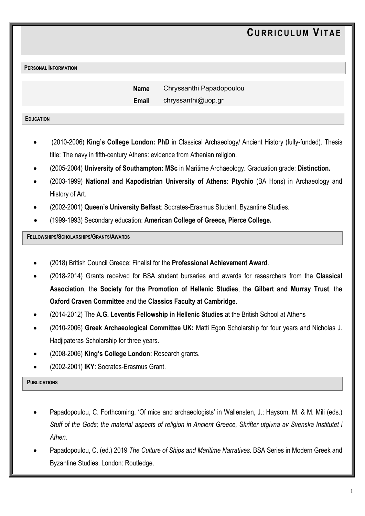**PERSONAL INFORMATION**

 **Name** Chryssanthi Papadopoulou **Email** chryssanthi@uop.gr

#### **EDUCATION**

- (2010-2006) **King's College London: PhD** in Classical Archaeology/ Ancient History (fully-funded). Thesis title: The navy in fifth-century Athens: evidence from Athenian religion.
- (2005-2004) **University of Southampton: MSc** in Maritime Archaeology. Graduation grade: **Distinction.**
- (2003-1999) **National and Kapodistrian University of Athens: Ptychio** (BA Hons) in Archaeology and History of Art.
- (2002-2001) **Queen's University Belfast**: Socrates-Erasmus Student, Byzantine Studies.
- (1999-1993) Secondary education: **American College of Greece, Pierce College.**

# **FELLOWSHIPS/SCHOLARSHIPS/GRANTS/AWARDS**

- (2018) British Council Greece: Finalist for the **Professional Achievement Award**.
- (2018-2014) Grants received for BSA student bursaries and awards for researchers from the **Classical Association**, the **Society for the Promotion of Hellenic Studies**, the **Gilbert and Murray Trust**, the **Oxford Craven Committee** and the **Classics Faculty at Cambridge**.
- (2014-2012) The **A.G. Leventis Fellowship in Hellenic Studies** at the British School at Athens
- (2010-2006) **Greek Archaeological Committee UK:** Matti Egon Scholarship for four years and Nicholas J. Hadjipateras Scholarship for three years.
- (2008-2006) **King's College London:** Research grants.
- (2002-2001) **IKY**: Socrates-Erasmus Grant.

### **PUBLICATIONS**

- Papadopoulou, C. Forthcoming. 'Of mice and archaeologists' in Wallensten, J.; Haysom, M. & M. Mili (eds.) *Stuff of the Gods; the material aspects of religion in Ancient Greece, Skrifter utgivna av Svenska Institutet i Athen.*
- Papadopoulou, C. (ed.) 2019 *The Culture of Ships and Maritime Narratives.* BSA Series in Modern Greek and Byzantine Studies. London: Routledge.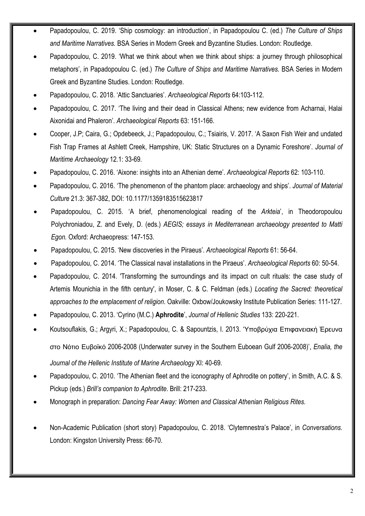- Papadopoulou, C. 2019. 'Ship cosmology: an introduction', in Papadopoulou C. (ed.) *The Culture of Ships and Maritime Narratives.* BSA Series in Modern Greek and Byzantine Studies. London: Routledge.
- Papadopoulou, C. 2019. 'What we think about when we think about ships: a journey through philosophical metaphors', in Papadopoulou C. (ed.) *The Culture of Ships and Maritime Narratives.* BSA Series in Modern Greek and Byzantine Studies. London: Routledge.
- Papadopoulou, C. 2018. 'Attic Sanctuaries'. *Archaeological Reports* 64:103-112.
- Papadopoulou, C. 2017. 'The living and their dead in Classical Athens; new evidence from Acharnai, Halai Aixonidai and Phaleron'. *Archaeological Reports* 63: 151-166.
- Cooper, J.P; Caira, G.; Opdebeeck, J.; Papadopoulou, C.; Tsiairis, V. 2017. 'A Saxon Fish Weir and undated Fish Trap Frames at Ashlett Creek, Hampshire, UK: Static Structures on a Dynamic Foreshore'. *Journal of Maritime Archaeology* 12.1: 33-69*.*
- Papadopoulou, C. 2016. 'Aixone: insights into an Athenian deme'. *Archaeological Reports* 62: 103-110.
- Papadopoulou, C. 2016. 'The phenomenon of the phantom place: archaeology and ships'. *Journal of Material Culture* 21.3: 367-382, DOI: 10.1177/1359183515623817
- Papadopoulou, C. 2015. 'A brief, phenomenological reading of the *Arkteia*', in Theodoropoulou Polychroniadou, Z. and Evely, D. (eds.) *AEGIS; essays in Mediterranean archaeology presented to Matti Egon.* Oxford: Archaeopress: 147-153.
- Papadopoulou, C. 2015. 'New discoveries in the Piraeus'. *Archaeological Reports* 61: 56-64.
- Papadopoulou, C. 2014. 'The Classical naval installations in the Piraeus'. *Archaeological Reports* 60: 50-54.
- Papadopoulou, C. 2014. 'Transforming the surroundings and its impact on cult rituals: the case study of Artemis Mounichia in the fifth century', in Moser, C. & C. Feldman (eds.) *Locating the Sacred: theoretical approaches to the emplacement of religion*. Oakville: Oxbow/Joukowsky Institute Publication Series: 111-127.
- Papadopoulou, C. 2013. 'Cyrino (M.C.) **Aphrodite**', *Journal of Hellenic Studies* 133: 220-221.
- Koutsouflakis, G.; Argyri, X.; Papadopoulou, C. & Sapountzis, I. 2013. 'Υποβρύχια Επιφανειακή Έρευνα στο Νότιο Ευβοϊκό 2006-2008 (Underwater survey in the Southern Euboean Gulf 2006-2008)', *Enalia, the Journal of the Hellenic Institute of Marine Archaeology* XI: 40-69.
- Papadopoulou, C. 2010. 'The Athenian fleet and the iconography of Aphrodite on pottery', in Smith, A.C. & S. Pickup (eds.) *Brill's companion to Aphrodite*. Brill: 217-233.
- Monograph in preparation: *Dancing Fear Away: Women and Classical Athenian Religious Rites.*
- Non-Academic Publication (short story) Papadopoulou, C. 2018. 'Clytemnestra's Palace', in *Conversations.* London: Kingston University Press: 66-70.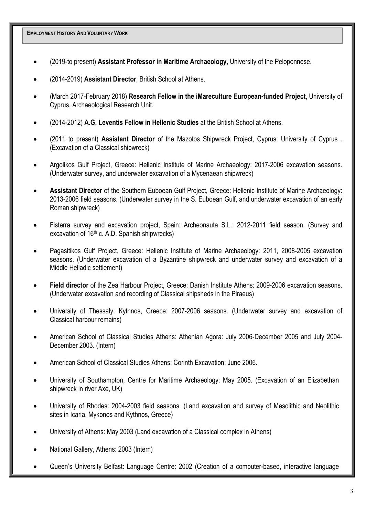**EMPLOYMENT HISTORY AND VOLUNTARY WORK**

- (2019-to present) **Assistant Professor in Maritime Archaeology**, University of the Peloponnese.
- (2014-2019) **Assistant Director**, British School at Athens.
- (March 2017-February 2018) **Research Fellow in the iMareculture European-funded Project**, University of Cyprus, Archaeological Research Unit.
- (2014-2012) **A.G. Leventis Fellow in Hellenic Studies** at the British School at Athens.
- (2011 to present) **Assistant Director** of the Mazotos Shipwreck Project, Cyprus: University of Cyprus . (Excavation of a Classical shipwreck)
- Argolikos Gulf Project, Greece: Hellenic Institute of Marine Archaeology: 2017-2006 excavation seasons. (Underwater survey, and underwater excavation of a Mycenaean shipwreck)
- **Assistant Director** of the Southern Euboean Gulf Project, Greece: Hellenic Institute of Marine Archaeology: 2013-2006 field seasons. (Underwater survey in the S. Euboean Gulf, and underwater excavation of an early Roman shipwreck)
- Fisterra survey and excavation project, Spain: Archeonauta S.L.: 2012-2011 field season. (Survey and excavation of 16<sup>th</sup> c. A.D. Spanish shipwrecks)
- Pagasitikos Gulf Project, Greece: Hellenic Institute of Marine Archaeology: 2011, 2008-2005 excavation seasons. (Underwater excavation of a Byzantine shipwreck and underwater survey and excavation of a Middle Helladic settlement)
- **Field director** of the Zea Harbour Project, Greece: Danish Institute Athens: 2009-2006 excavation seasons. (Underwater excavation and recording of Classical shipsheds in the Piraeus)
- University of Thessaly: Kythnos, Greece: 2007-2006 seasons. (Underwater survey and excavation of Classical harbour remains)
- American School of Classical Studies Athens: Athenian Agora: July 2006-December 2005 and July 2004- December 2003. (Intern)
- American School of Classical Studies Athens: Corinth Excavation: June 2006.
- University of Southampton, Centre for Maritime Archaeology: May 2005. (Excavation of an Elizabethan shipwreck in river Axe, UK)
- University of Rhodes: 2004-2003 field seasons. (Land excavation and survey of Mesolithic and Neolithic sites in Icaria, Mykonos and Kythnos, Greece)
- University of Athens: May 2003 (Land excavation of a Classical complex in Athens)
- National Gallery, Athens: 2003 (Intern)
- Queen's University Belfast: Language Centre: 2002 (Creation of a computer-based, interactive language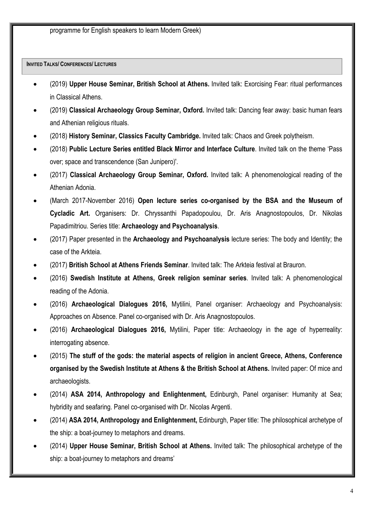**INVITED TALKS/ CONFERENCES/ LECTURES**

- (2019) **Upper House Seminar, British School at Athens.** Invited talk: Exorcising Fear: ritual performances in Classical Athens.
- (2019) **Classical Archaeology Group Seminar, Oxford.** Invited talk: Dancing fear away: basic human fears and Athenian religious rituals.
- (2018) **History Seminar, Classics Faculty Cambridge.** Invited talk: Chaos and Greek polytheism.
- (2018) **Public Lecture Series entitled Black Mirror and Interface Culture**. Invited talk on the theme 'Pass over; space and transcendence (San Junipero)'.
- (2017) **Classical Archaeology Group Seminar, Oxford.** Invited talk: A phenomenological reading of the Athenian Adonia.
- (March 2017-November 2016) **Open lecture series co-organised by the BSA and the Museum of Cycladic Art.** Organisers: Dr. Chryssanthi Papadopoulou, Dr. Aris Anagnostopoulos, Dr. Nikolas Papadimitriou. Series title: **Archaeology and Psychoanalysis**.
- (2017) Paper presented in the **Archaeology and Psychoanalysis** lecture series: The body and Identity; the case of the Arkteia.
- (2017) **British School at Athens Friends Seminar**. Invited talk: The Arkteia festival at Brauron.
- (2016) **Swedish Institute at Athens, Greek religion seminar series**. Invited talk: A phenomenological reading of the Adonia.
- (2016) **Archaeological Dialogues 2016,** Mytilini, Panel organiser: Archaeology and Psychoanalysis: Approaches on Absence. Panel co-organised with Dr. Aris Anagnostopoulos.
- (2016) **Archaeological Dialogues 2016,** Mytilini, Paper title: Archaeology in the age of hyperreality: interrogating absence.
- (2015) **The stuff of the gods: the material aspects of religion in ancient Greece, Athens, Conference organised by the Swedish Institute at Athens & the British School at Athens.** Invited paper: Of mice and archaeologists.
- (2014) **ASA 2014, Anthropology and Enlightenment,** Edinburgh, Panel organiser: Humanity at Sea; hybridity and seafaring. Panel co-organised with Dr. Nicolas Argenti.
- (2014) **ASA 2014, Anthropology and Enlightenment,** Edinburgh, Paper title: The philosophical archetype of the ship: a boat-journey to metaphors and dreams.
- (2014) **Upper House Seminar, British School at Athens.** Invited talk: The philosophical archetype of the ship: a boat-journey to metaphors and dreams'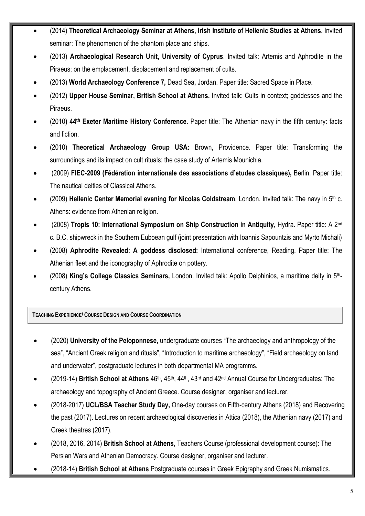- (2014) **Theoretical Archaeology Seminar at Athens, Irish Institute of Hellenic Studies at Athens.** Invited seminar: The phenomenon of the phantom place and ships.
- (2013) **Archaeological Research Unit, University of Cyprus**. Invited talk: Artemis and Aphrodite in the Piraeus; on the emplacement, displacement and replacement of cults.
- (2013) **World Archaeology Conference 7,** Dead Sea**,** Jordan. Paper title: Sacred Space in Place.
- (2012) **Upper House Seminar, British School at Athens.** Invited talk: Cults in context; goddesses and the Piraeus.
- (2010**) 44th Exeter Maritime History Conference.** Paper title: The Athenian navy in the fifth century: facts and fiction.
- (2010) **Theoretical Archaeology Group USA:** Brown, Providence. Paper title: Transforming the surroundings and its impact on cult rituals: the case study of Artemis Mounichia.
- (2009) **FIEC-2009 (Fédération internationale des associations d'etudes classiques),** Berlin. Paper title: The nautical deities of Classical Athens.
- (2009) **Hellenic Center Memorial evening for Nicolas Coldstream**, London. Invited talk: The navy in 5th c. Athens: evidence from Athenian religion.
- (2008) **Tropis 10: International Symposium on Ship Construction in Antiquity,** Hydra. Paper title: A 2nd c. B.C. shipwreck in the Southern Euboean gulf (joint presentation with Ioannis Sapountzis and Myrto Michali)
- (2008) **Aphrodite Revealed: A goddess disclosed:** International conference, Reading. Paper title: The Athenian fleet and the iconography of Aphrodite on pottery.
- (2008) **King's College Classics Seminars,** London. Invited talk: Apollo Delphinios, a maritime deity in 5thcentury Athens.

**TEACHING EXPERIENCE/ COURSE DESIGN AND COURSE COORDINATION**

- (2020) **University of the Peloponnese,** undergraduate courses "The archaeology and anthropology of the sea", "Ancient Greek religion and rituals", "Introduction to maritime archaeology", "Field archaeology on land and underwater", postgraduate lectures in both departmental MA programms.
- (2019-14) **British School at Athens** 46th, 45th, 44th, 43rd and 42nd Annual Course for Undergraduates: The archaeology and topography of Ancient Greece. Course designer, organiser and lecturer.
- (2018-2017) **UCL/BSA Teacher Study Day,** One-day courses on Fifth-century Athens (2018) and Recovering the past (2017). Lectures on recent archaeological discoveries in Attica (2018), the Athenian navy (2017) and Greek theatres (2017).
- (2018, 2016, 2014) **British School at Athens**, Teachers Course (professional development course): The Persian Wars and Athenian Democracy. Course designer, organiser and lecturer.
- (2018-14) **British School at Athens** Postgraduate courses in Greek Epigraphy and Greek Numismatics.